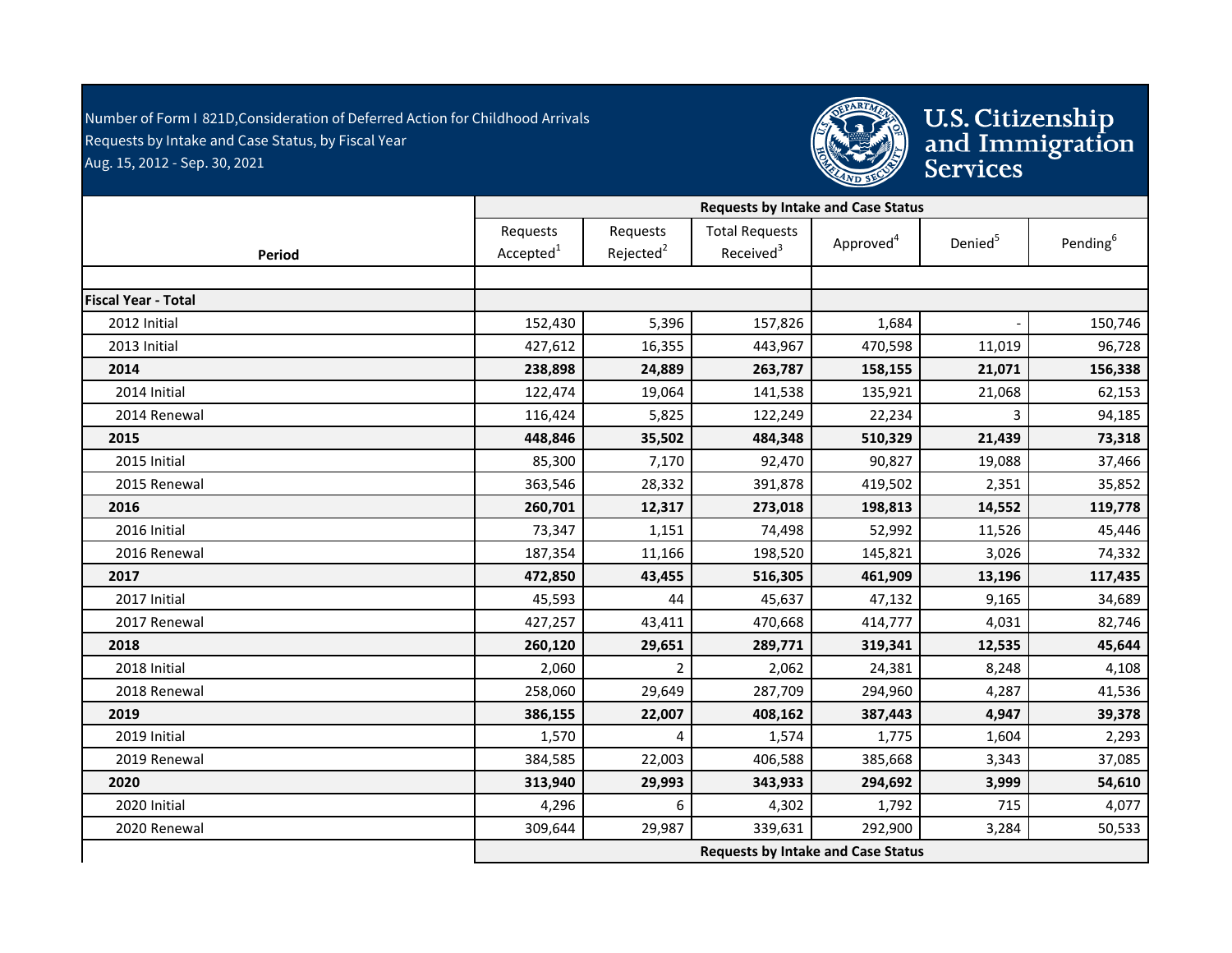Number of Form I 821D,Consideration of Deferred Action for Childhood Arrivals - Requests by Intake and Case Status, by Fiscal Year Aug. 15, 2012 - Sep. 30, 2021



U.S. Citizenship<br>and Immigration<br>Services

|                            |                                   | <b>Requests by Intake and Case Status</b> |                                                |                       |                     |                      |  |  |  |
|----------------------------|-----------------------------------|-------------------------------------------|------------------------------------------------|-----------------------|---------------------|----------------------|--|--|--|
| <b>Period</b>              | Requests<br>Accepted <sup>1</sup> | Requests<br>Rejected <sup>2</sup>         | <b>Total Requests</b><br>Received <sup>3</sup> | Approved <sup>4</sup> | Denied <sup>5</sup> | Pending <sup>6</sup> |  |  |  |
|                            |                                   |                                           |                                                |                       |                     |                      |  |  |  |
| <b>Fiscal Year - Total</b> |                                   |                                           |                                                |                       |                     |                      |  |  |  |
| 2012 Initial               | 152,430                           | 5,396                                     | 157,826                                        | 1,684                 |                     | 150,746              |  |  |  |
| 2013 Initial               | 427,612                           | 16,355                                    | 443,967                                        | 470,598               | 11,019              | 96,728               |  |  |  |
| 2014                       | 238,898                           | 24,889                                    | 263,787                                        | 158,155               | 21,071              | 156,338              |  |  |  |
| 2014 Initial               | 122,474                           | 19,064                                    | 141,538                                        | 135,921               | 21,068              | 62,153               |  |  |  |
| 2014 Renewal               | 116,424                           | 5,825                                     | 122,249                                        | 22,234                | 3                   | 94,185               |  |  |  |
| 2015                       | 448,846                           | 35,502                                    | 484,348                                        | 510,329               | 21,439              | 73,318               |  |  |  |
| 2015 Initial               | 85,300                            | 7,170                                     | 92,470                                         | 90,827                | 19,088              | 37,466               |  |  |  |
| 2015 Renewal               | 363,546                           | 28,332                                    | 391,878                                        | 419,502               | 2,351               | 35,852               |  |  |  |
| 2016                       | 260,701                           | 12,317                                    | 273,018                                        | 198,813               | 14,552              | 119,778              |  |  |  |
| 2016 Initial               | 73,347                            | 1,151                                     | 74,498                                         | 52,992                | 11,526              | 45,446               |  |  |  |
| 2016 Renewal               | 187,354                           | 11,166                                    | 198,520                                        | 145,821               | 3,026               | 74,332               |  |  |  |
| 2017                       | 472,850                           | 43,455                                    | 516,305                                        | 461,909               | 13,196              | 117,435              |  |  |  |
| 2017 Initial               | 45,593                            | 44                                        | 45,637                                         | 47,132                | 9,165               | 34,689               |  |  |  |
| 2017 Renewal               | 427,257                           | 43,411                                    | 470,668                                        | 414,777               | 4,031               | 82,746               |  |  |  |
| 2018                       | 260,120                           | 29,651                                    | 289,771                                        | 319,341               | 12,535              | 45,644               |  |  |  |
| 2018 Initial               | 2,060                             | $\overline{2}$                            | 2,062                                          | 24,381                | 8,248               | 4,108                |  |  |  |
| 2018 Renewal               | 258,060                           | 29,649                                    | 287,709                                        | 294,960               | 4,287               | 41,536               |  |  |  |
| 2019                       | 386,155                           | 22,007                                    | 408,162                                        | 387,443               | 4,947               | 39,378               |  |  |  |
| 2019 Initial               | 1,570                             | 4                                         | 1,574                                          | 1,775                 | 1,604               | 2,293                |  |  |  |
| 2019 Renewal               | 384,585                           | 22,003                                    | 406,588                                        | 385,668               | 3,343               | 37,085               |  |  |  |
| 2020                       | 313,940                           | 29,993                                    | 343,933                                        | 294,692               | 3,999               | 54,610               |  |  |  |
| 2020 Initial               | 4,296                             | 6                                         | 4,302                                          | 1,792                 | 715                 | 4,077                |  |  |  |
| 2020 Renewal               | 309,644                           | 29,987                                    | 339,631                                        | 292,900               | 3,284               | 50,533               |  |  |  |
|                            |                                   |                                           | <b>Requests by Intake and Case Status</b>      |                       |                     |                      |  |  |  |
|                            |                                   |                                           |                                                |                       |                     |                      |  |  |  |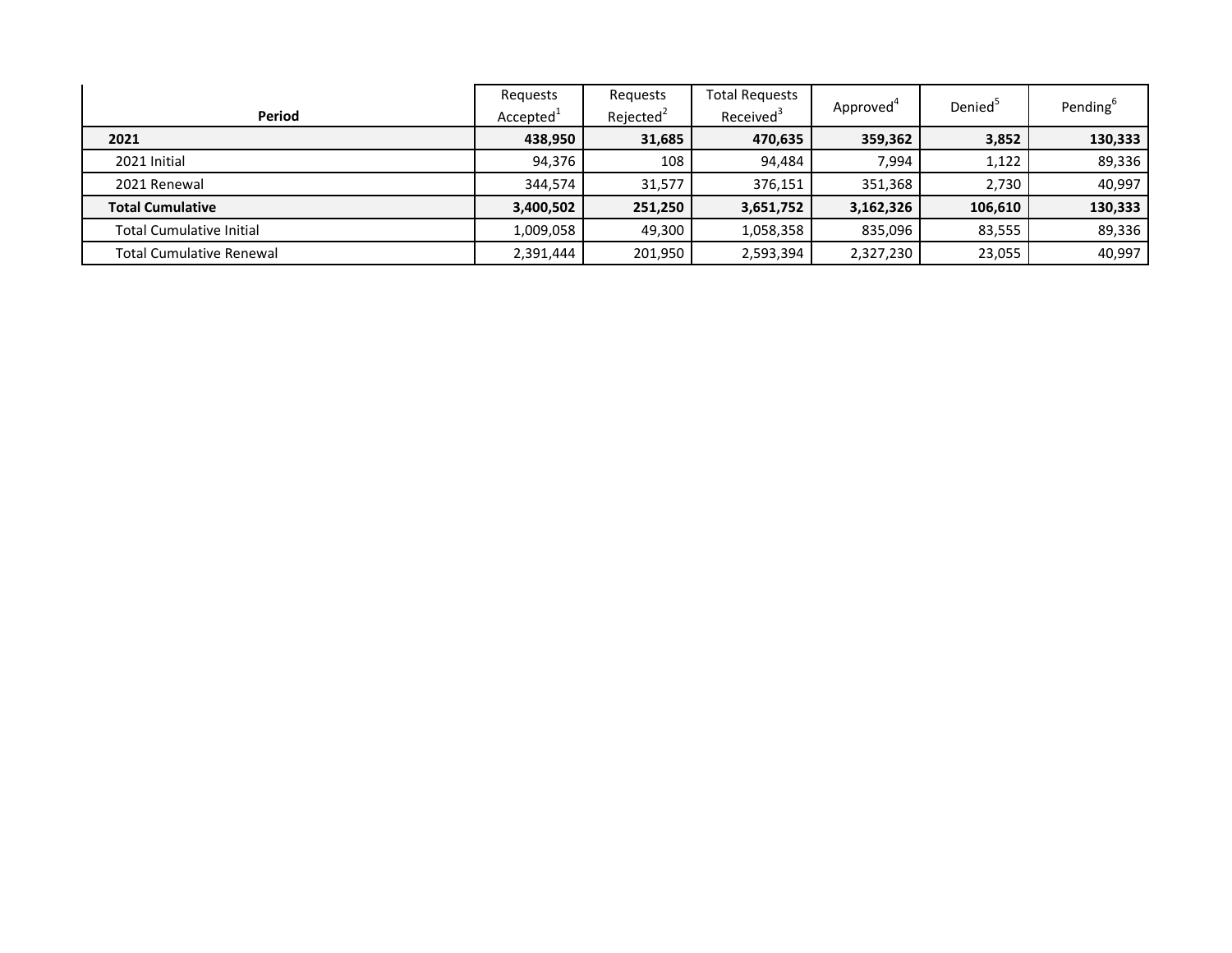| Period                          | Requests<br>Accepted <sup>+</sup> | Reguests<br>Rejected <sup>2</sup> | <b>Total Requests</b><br>Received <sup>3</sup> | Approved <sup>4</sup> | Denied <sup>5</sup> | Pending <sup>6</sup> |
|---------------------------------|-----------------------------------|-----------------------------------|------------------------------------------------|-----------------------|---------------------|----------------------|
| 2021                            | 438,950                           | 31,685                            | 470,635                                        | 359,362               | 3,852               | 130,333              |
|                                 |                                   |                                   |                                                |                       |                     |                      |
| 2021 Initial                    | 94.376                            | 108                               | 94.484                                         | 7,994                 | 1,122               | 89,336               |
| 2021 Renewal                    | 344,574                           | 31,577                            | 376,151                                        | 351,368               | 2,730               | 40.997               |
| <b>Total Cumulative</b>         | 3,400,502                         | 251,250                           | 3,651,752                                      | 3,162,326             | 106,610             | 130,333              |
| <b>Total Cumulative Initial</b> | 1,009,058                         | 49,300                            | 1,058,358                                      | 835.096               | 83,555              | 89,336               |
| <b>Total Cumulative Renewal</b> | 2,391,444                         | 201,950                           | 2,593,394                                      | 2,327,230             | 23,055              | 40,997               |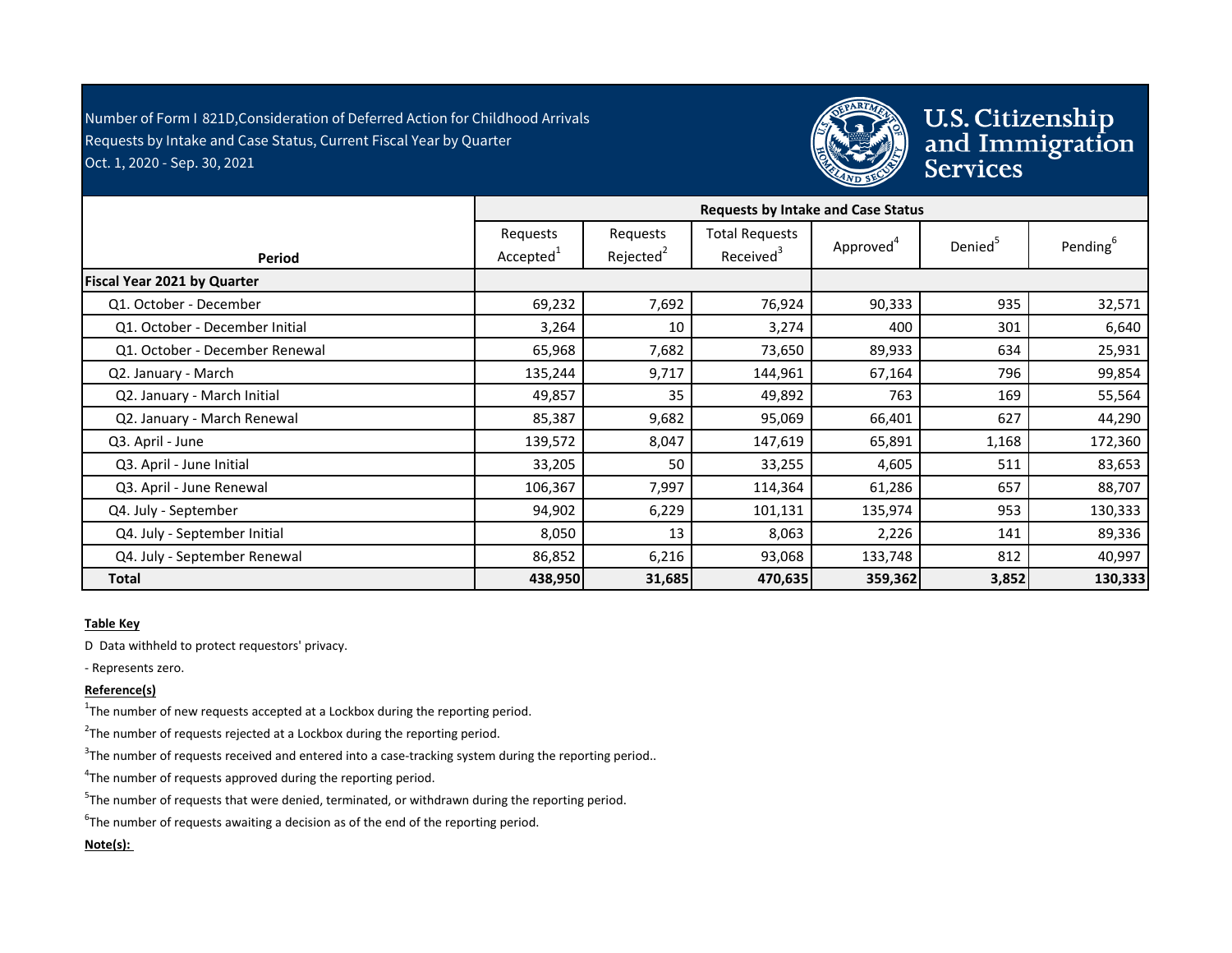Number of Form I 821D,Consideration of Deferred Action for Childhood Arrivals - Requests by Intake and Case Status, Current Fiscal Year by Quarter Oct. 1, 2020 - Sep. 30, 2021



U.S. Citizenship<br>and Immigration<br>Services

|                                | <b>Requests by Intake and Case Status</b> |                                   |                                                |                       |                     |                      |
|--------------------------------|-------------------------------------------|-----------------------------------|------------------------------------------------|-----------------------|---------------------|----------------------|
| Period                         | Requests<br>Accepted <sup>1</sup>         | Requests<br>Rejected <sup>2</sup> | <b>Total Requests</b><br>Received <sup>3</sup> | Approved <sup>4</sup> | Denied <sup>5</sup> | Pending <sup>6</sup> |
| Fiscal Year 2021 by Quarter    |                                           |                                   |                                                |                       |                     |                      |
| Q1. October - December         | 69,232                                    | 7,692                             | 76,924                                         | 90,333                | 935                 | 32,571               |
| Q1. October - December Initial | 3,264                                     | 10                                | 3,274                                          | 400                   | 301                 | 6,640                |
| Q1. October - December Renewal | 65,968                                    | 7,682                             | 73,650                                         | 89,933                | 634                 | 25,931               |
| Q2. January - March            | 135,244                                   | 9,717                             | 144,961                                        | 67,164                | 796                 | 99,854               |
| Q2. January - March Initial    | 49,857                                    | 35                                | 49,892                                         | 763                   | 169                 | 55,564               |
| Q2. January - March Renewal    | 85,387                                    | 9,682                             | 95,069                                         | 66,401                | 627                 | 44,290               |
| Q3. April - June               | 139,572                                   | 8,047                             | 147,619                                        | 65,891                | 1,168               | 172,360              |
| Q3. April - June Initial       | 33,205                                    | 50                                | 33,255                                         | 4,605                 | 511                 | 83,653               |
| Q3. April - June Renewal       | 106,367                                   | 7,997                             | 114,364                                        | 61,286                | 657                 | 88,707               |
| Q4. July - September           | 94,902                                    | 6,229                             | 101,131                                        | 135,974               | 953                 | 130,333              |
| Q4. July - September Initial   | 8,050                                     | 13                                | 8,063                                          | 2,226                 | 141                 | 89,336               |
| Q4. July - September Renewal   | 86,852                                    | 6,216                             | 93,068                                         | 133,748               | 812                 | 40,997               |
| <b>Total</b>                   | 438,950                                   | 31,685                            | 470,635                                        | 359,362               | 3,852               | 130,333              |

## **Table Key**

D Data withheld to protect requestors' privacy.

- Represents zero.

## **Reference(s)**

 $1$ The number of new requests accepted at a Lockbox during the reporting period.

 $2$ The number of requests rejected at a Lockbox during the reporting period.

 $3$ The number of requests received and entered into a case-tracking system during the reporting period..

<sup>4</sup>The number of requests approved during the reporting period.

 $5$ The number of requests that were denied, terminated, or withdrawn during the reporting period.

 ${}^{6}$ The number of requests awaiting a decision as of the end of the reporting period.

## **Note(s):**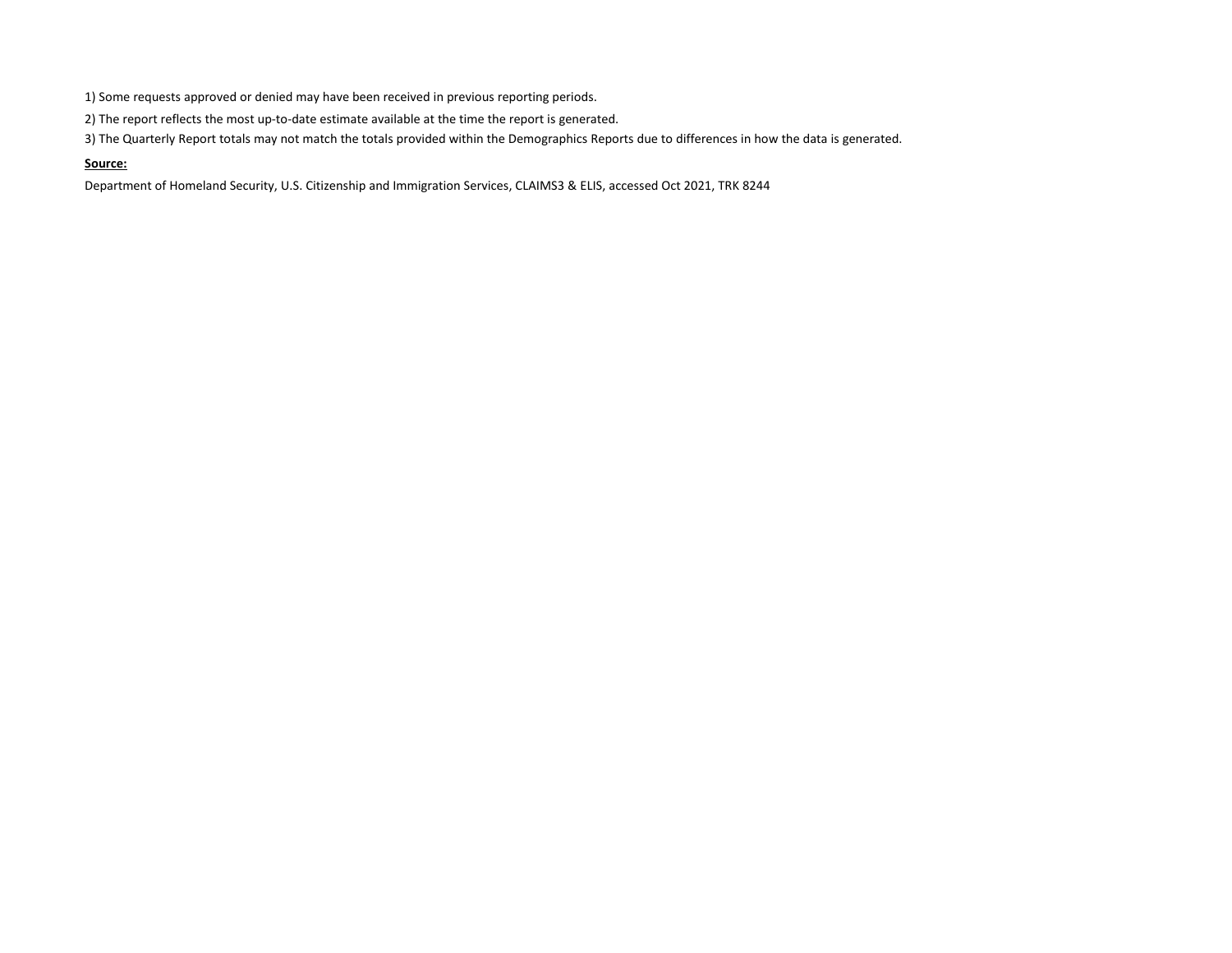1) Some requests approved or denied may have been received in previous reporting periods.

2) The report reflects the most up-to-date estimate available at the time the report is generated.

3) The Quarterly Report totals may not match the totals provided within the Demographics Reports due to differences in how the data is generated.

#### **Source:**

Department of Homeland Security, U.S. Citizenship and Immigration Services, CLAIMS3 & ELIS, accessed Oct 2021, TRK 8244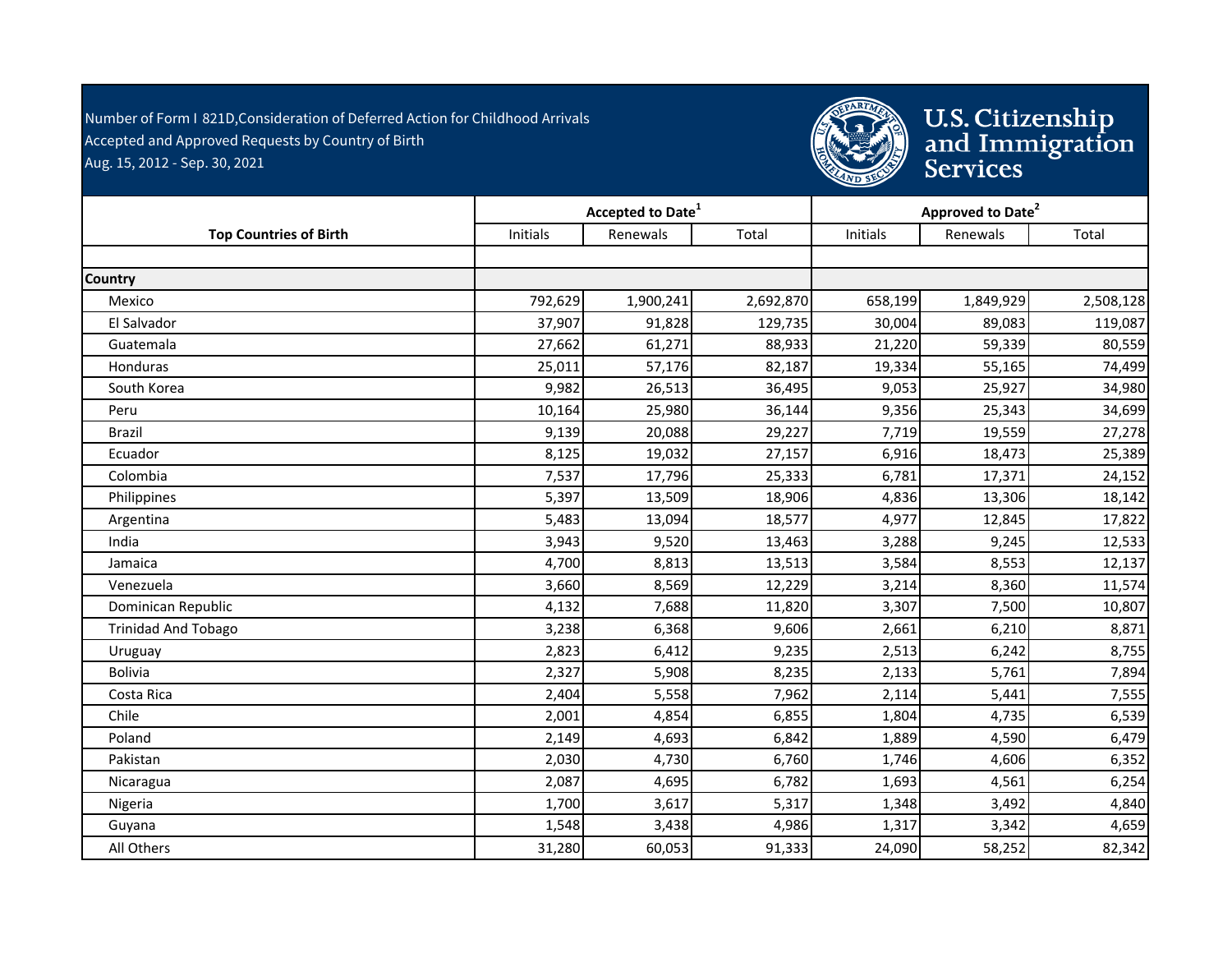Number of Form I 821D,Consideration of Deferred Action for Childhood Arrivals - Accepted and Approved Requests by Country of Birth Aug. 15, 2012 - Sep. 30, 2021



|                               | Accepted to Date <sup>1</sup> |           |           | Approved to Date <sup>2</sup> |           |           |
|-------------------------------|-------------------------------|-----------|-----------|-------------------------------|-----------|-----------|
| <b>Top Countries of Birth</b> | Initials                      | Renewals  | Total     | Initials                      | Renewals  | Total     |
|                               |                               |           |           |                               |           |           |
| <b>Country</b>                |                               |           |           |                               |           |           |
| Mexico                        | 792,629                       | 1,900,241 | 2,692,870 | 658,199                       | 1,849,929 | 2,508,128 |
| El Salvador                   | 37,907                        | 91,828    | 129,735   | 30,004                        | 89,083    | 119,087   |
| Guatemala                     | 27,662                        | 61,271    | 88,933    | 21,220                        | 59,339    | 80,559    |
| <b>Honduras</b>               | 25,011                        | 57,176    | 82,187    | 19,334                        | 55,165    | 74,499    |
| South Korea                   | 9,982                         | 26,513    | 36,495    | 9,053                         | 25,927    | 34,980    |
| Peru                          | 10,164                        | 25,980    | 36,144    | 9,356                         | 25,343    | 34,699    |
| <b>Brazil</b>                 | 9,139                         | 20,088    | 29,227    | 7,719                         | 19,559    | 27,278    |
| Ecuador                       | 8,125                         | 19,032    | 27,157    | 6,916                         | 18,473    | 25,389    |
| Colombia                      | 7,537                         | 17,796    | 25,333    | 6,781                         | 17,371    | 24,152    |
| Philippines                   | 5,397                         | 13,509    | 18,906    | 4,836                         | 13,306    | 18,142    |
| Argentina                     | 5,483                         | 13,094    | 18,577    | 4,977                         | 12,845    | 17,822    |
| India                         | 3,943                         | 9,520     | 13,463    | 3,288                         | 9,245     | 12,533    |
| Jamaica                       | 4,700                         | 8,813     | 13,513    | 3,584                         | 8,553     | 12,137    |
| Venezuela                     | 3,660                         | 8,569     | 12,229    | 3,214                         | 8,360     | 11,574    |
| Dominican Republic            | 4,132                         | 7,688     | 11,820    | 3,307                         | 7,500     | 10,807    |
| <b>Trinidad And Tobago</b>    | 3,238                         | 6,368     | 9,606     | 2,661                         | 6,210     | 8,871     |
| Uruguay                       | 2,823                         | 6,412     | 9,235     | 2,513                         | 6,242     | 8,755     |
| <b>Bolivia</b>                | 2,327                         | 5,908     | 8,235     | 2,133                         | 5,761     | 7,894     |
| Costa Rica                    | 2,404                         | 5,558     | 7,962     | 2,114                         | 5,441     | 7,555     |
| Chile                         | 2,001                         | 4,854     | 6,855     | 1,804                         | 4,735     | 6,539     |
| Poland                        | 2,149                         | 4,693     | 6,842     | 1,889                         | 4,590     | 6,479     |
| Pakistan                      | 2,030                         | 4,730     | 6,760     | 1,746                         | 4,606     | 6,352     |
| Nicaragua                     | 2,087                         | 4,695     | 6,782     | 1,693                         | 4,561     | 6,254     |
| Nigeria                       | 1,700                         | 3,617     | 5,317     | 1,348                         | 3,492     | 4,840     |
| Guyana                        | 1,548                         | 3,438     | 4,986     | 1,317                         | 3,342     | 4,659     |
| All Others                    | 31,280                        | 60,053    | 91,333    | 24,090                        | 58,252    | 82,342    |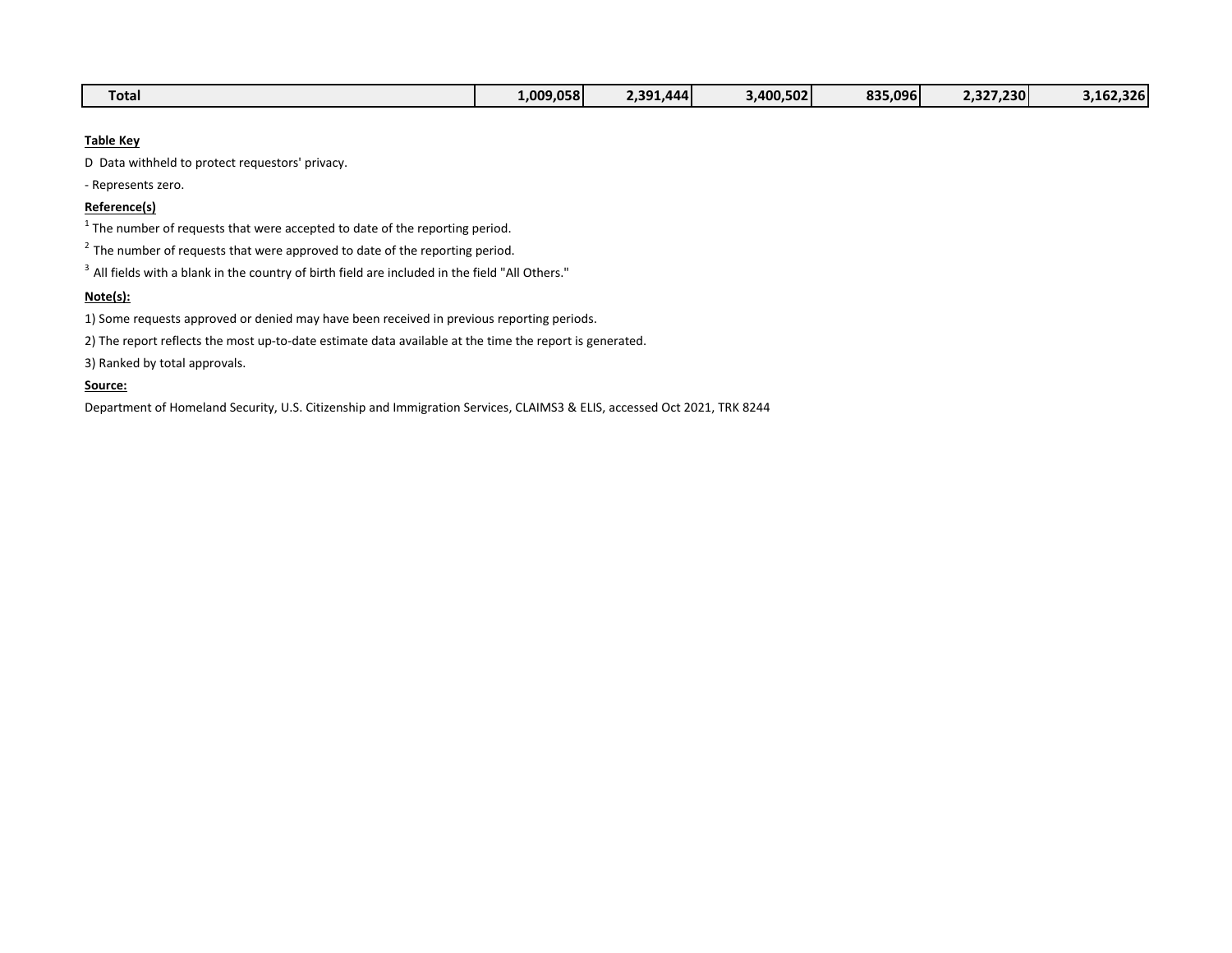| $-$<br>rotal | 1.009.058 | AA'<br>-201<br>. | 3.400.502 | 835.096 | $^{\backprime}$ .327.230 $\blacksquare$<br>$\epsilon$ . 37 | 3.162.326 |
|--------------|-----------|------------------|-----------|---------|------------------------------------------------------------|-----------|
|--------------|-----------|------------------|-----------|---------|------------------------------------------------------------|-----------|

## **Table Key**

D Data withheld to protect requestors' privacy.

- Represents zero.

### **Reference(s)**

 $1$  The number of requests that were accepted to date of the reporting period.

 $2^2$  The number of requests that were approved to date of the reporting period.

 $3$  All fields with a blank in the country of birth field are included in the field "All Others."

# **Note(s):**

1) Some requests approved or denied may have been received in previous reporting periods.

2) The report reflects the most up-to-date estimate data available at the time the report is generated.

3) Ranked by total approvals.

#### **Source:**

Department of Homeland Security, U.S. Citizenship and Immigration Services, CLAIMS3 & ELIS, accessed Oct 2021, TRK 8244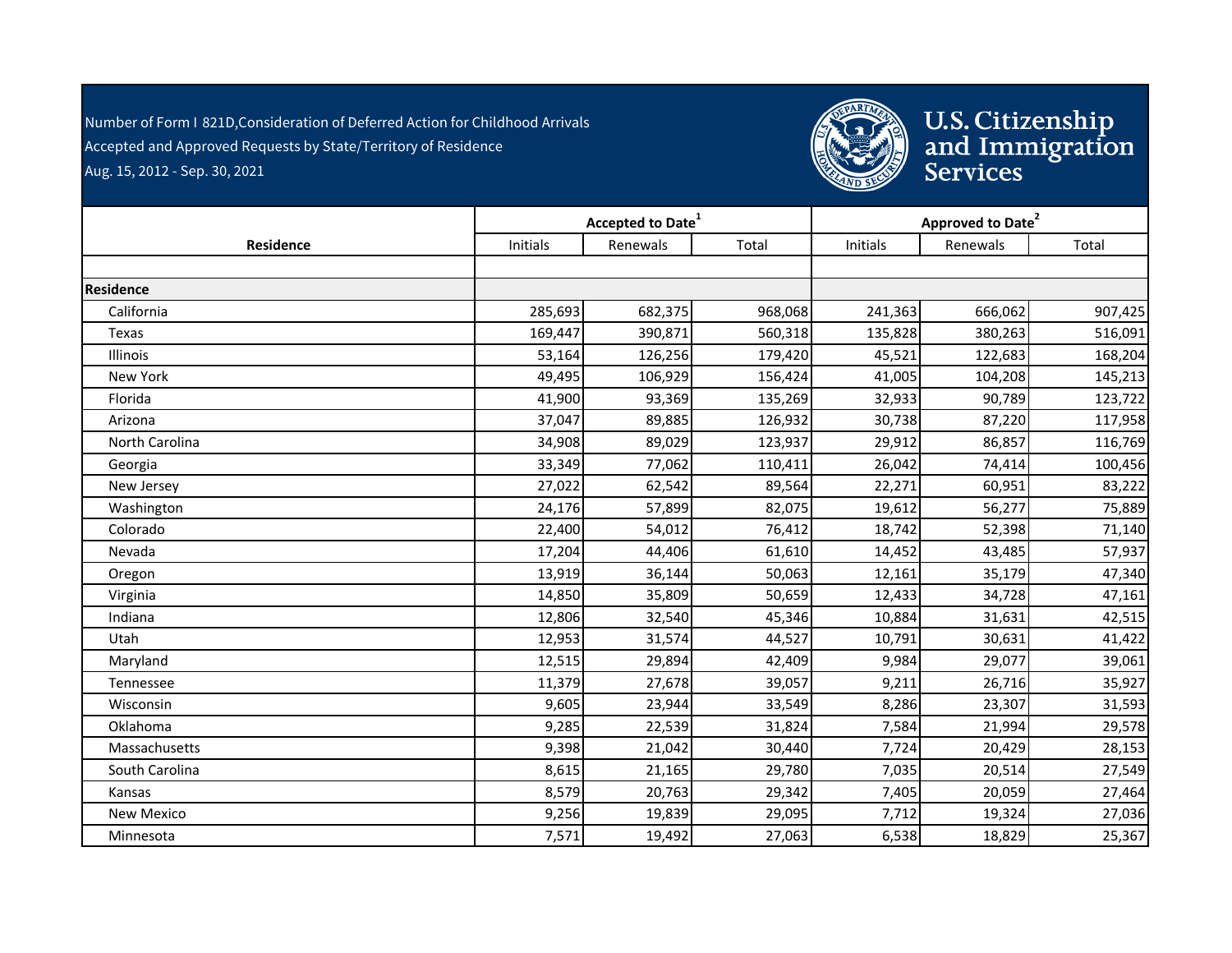Number of Form I 821D,Consideration of Deferred Action for Childhood Arrivals - Accepted and Approved Requests by State/Territory of Residence Aug. 15, 2012 - Sep. 30, 2021



|                   |                 | Accepted to Date <sup>1</sup> |         | Approved to Date <sup>2</sup> |          |         |  |
|-------------------|-----------------|-------------------------------|---------|-------------------------------|----------|---------|--|
| Residence         | <b>Initials</b> | Renewals                      | Total   | Initials                      | Renewals | Total   |  |
|                   |                 |                               |         |                               |          |         |  |
| Residence         |                 |                               |         |                               |          |         |  |
| California        | 285,693         | 682,375                       | 968,068 | 241,363                       | 666,062  | 907,425 |  |
| Texas             | 169,447         | 390,871                       | 560,318 | 135,828                       | 380,263  | 516,091 |  |
| Illinois          | 53,164          | 126,256                       | 179,420 | 45,521                        | 122,683  | 168,204 |  |
| New York          | 49,495          | 106,929                       | 156,424 | 41,005                        | 104,208  | 145,213 |  |
| Florida           | 41,900          | 93,369                        | 135,269 | 32,933                        | 90,789   | 123,722 |  |
| Arizona           | 37,047          | 89,885                        | 126,932 | 30,738                        | 87,220   | 117,958 |  |
| North Carolina    | 34,908          | 89,029                        | 123,937 | 29,912                        | 86,857   | 116,769 |  |
| Georgia           | 33,349          | 77,062                        | 110,411 | 26,042                        | 74,414   | 100,456 |  |
| New Jersey        | 27,022          | 62,542                        | 89,564  | 22,271                        | 60,951   | 83,222  |  |
| Washington        | 24,176          | 57,899                        | 82,075  | 19,612                        | 56,277   | 75,889  |  |
| Colorado          | 22,400          | 54,012                        | 76,412  | 18,742                        | 52,398   | 71,140  |  |
| Nevada            | 17,204          | 44,406                        | 61,610  | 14,452                        | 43,485   | 57,937  |  |
| Oregon            | 13,919          | 36,144                        | 50,063  | 12,161                        | 35,179   | 47,340  |  |
| Virginia          | 14,850          | 35,809                        | 50,659  | 12,433                        | 34,728   | 47,161  |  |
| Indiana           | 12,806          | 32,540                        | 45,346  | 10,884                        | 31,631   | 42,515  |  |
| Utah              | 12,953          | 31,574                        | 44,527  | 10,791                        | 30,631   | 41,422  |  |
| Maryland          | 12,515          | 29,894                        | 42,409  | 9,984                         | 29,077   | 39,061  |  |
| Tennessee         | 11,379          | 27,678                        | 39,057  | 9,211                         | 26,716   | 35,927  |  |
| Wisconsin         | 9,605           | 23,944                        | 33,549  | 8,286                         | 23,307   | 31,593  |  |
| Oklahoma          | 9,285           | 22,539                        | 31,824  | 7,584                         | 21,994   | 29,578  |  |
| Massachusetts     | 9,398           | 21,042                        | 30,440  | 7,724                         | 20,429   | 28,153  |  |
| South Carolina    | 8,615           | 21,165                        | 29,780  | 7,035                         | 20,514   | 27,549  |  |
| Kansas            | 8,579           | 20,763                        | 29,342  | 7,405                         | 20,059   | 27,464  |  |
| <b>New Mexico</b> | 9,256           | 19,839                        | 29,095  | 7,712                         | 19,324   | 27,036  |  |
| Minnesota         | 7,571           | 19,492                        | 27,063  | 6,538                         | 18,829   | 25,367  |  |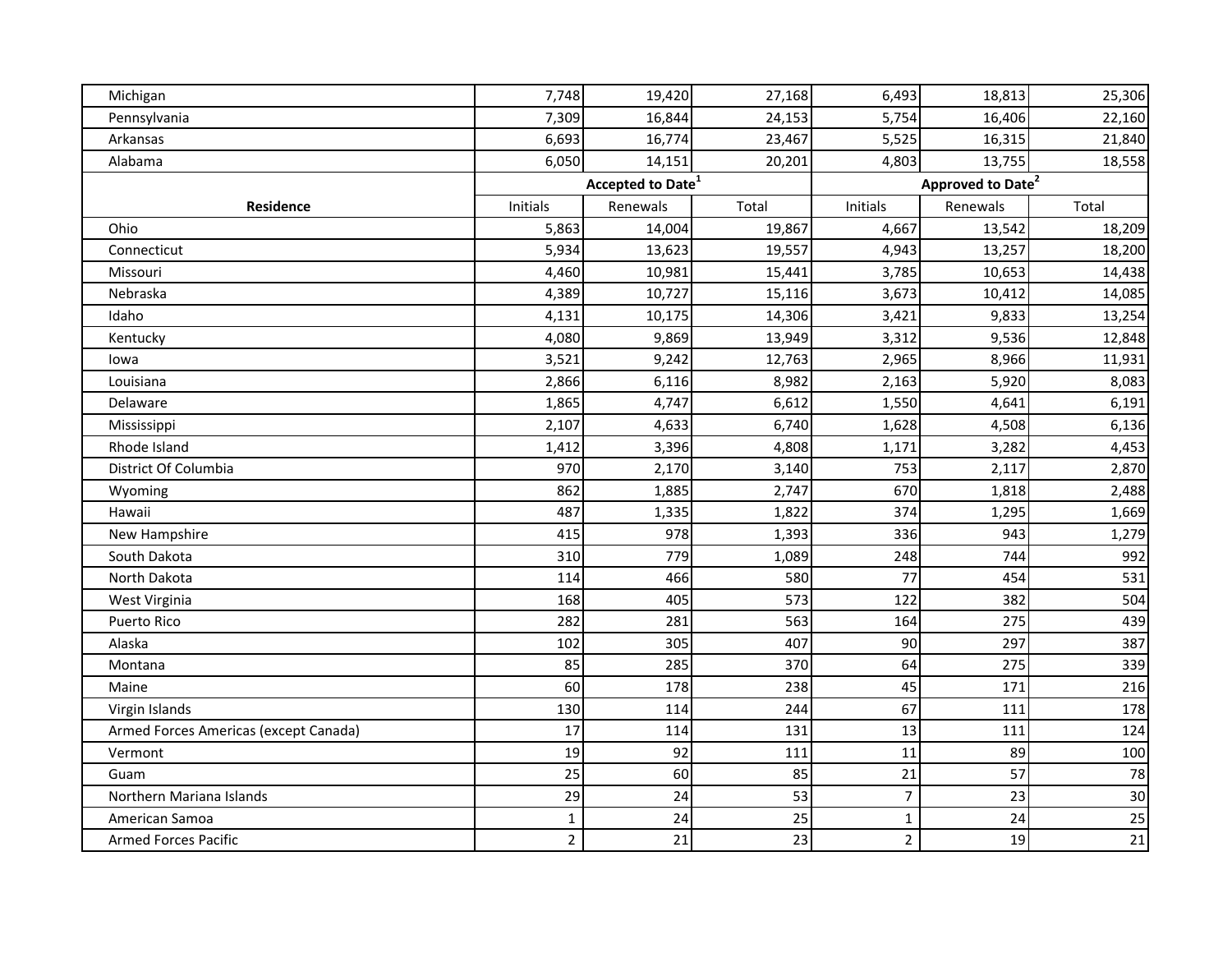| Michigan                              | 7,748          | 19,420                        | 27,168 | 6,493          | 18,813                        | 25,306 |
|---------------------------------------|----------------|-------------------------------|--------|----------------|-------------------------------|--------|
| Pennsylvania                          | 7,309          | 16,844                        | 24,153 | 5,754          | 16,406                        | 22,160 |
| Arkansas                              | 6,693          | 16,774                        | 23,467 | 5,525          | 16,315                        | 21,840 |
| Alabama                               | 6,050          | 14,151                        | 20,201 | 4,803          | 13,755                        | 18,558 |
|                                       |                | Accepted to Date <sup>1</sup> |        |                | Approved to Date <sup>2</sup> |        |
| Residence                             | Initials       | Renewals                      | Total  | Initials       | Renewals                      | Total  |
| Ohio                                  | 5,863          | 14,004                        | 19,867 | 4,667          | 13,542                        | 18,209 |
| Connecticut                           | 5,934          | 13,623                        | 19,557 | 4,943          | 13,257                        | 18,200 |
| Missouri                              | 4,460          | 10,981                        | 15,441 | 3,785          | 10,653                        | 14,438 |
| Nebraska                              | 4,389          | 10,727                        | 15,116 | 3,673          | 10,412                        | 14,085 |
| Idaho                                 | 4,131          | 10,175                        | 14,306 | 3,421          | 9,833                         | 13,254 |
| Kentucky                              | 4,080          | 9,869                         | 13,949 | 3,312          | 9,536                         | 12,848 |
| lowa                                  | 3,521          | 9,242                         | 12,763 | 2,965          | 8,966                         | 11,931 |
| Louisiana                             | 2,866          | 6,116                         | 8,982  | 2,163          | 5,920                         | 8,083  |
| Delaware                              | 1,865          | 4,747                         | 6,612  | 1,550          | 4,641                         | 6,191  |
| Mississippi                           | 2,107          | 4,633                         | 6,740  | 1,628          | 4,508                         | 6,136  |
| Rhode Island                          | 1,412          | 3,396                         | 4,808  | 1,171          | 3,282                         | 4,453  |
| District Of Columbia                  | 970            | 2,170                         | 3,140  | 753            | 2,117                         | 2,870  |
| Wyoming                               | 862            | 1,885                         | 2,747  | 670            | 1,818                         | 2,488  |
| Hawaii                                | 487            | 1,335                         | 1,822  | 374            | 1,295                         | 1,669  |
| New Hampshire                         | 415            | 978                           | 1,393  | 336            | 943                           | 1,279  |
| South Dakota                          | 310            | 779                           | 1,089  | 248            | 744                           | 992    |
| North Dakota                          | 114            | 466                           | 580    | 77             | 454                           | 531    |
| West Virginia                         | 168            | 405                           | 573    | 122            | 382                           | 504    |
| <b>Puerto Rico</b>                    | 282            | 281                           | 563    | 164            | 275                           | 439    |
| Alaska                                | 102            | 305                           | 407    | 90             | 297                           | 387    |
| Montana                               | 85             | 285                           | 370    | 64             | 275                           | 339    |
| Maine                                 | 60             | 178                           | 238    | 45             | 171                           | 216    |
| Virgin Islands                        | 130            | 114                           | 244    | 67             | 111                           | 178    |
| Armed Forces Americas (except Canada) | 17             | 114                           | 131    | 13             | 111                           | 124    |
| Vermont                               | 19             | 92                            | 111    | 11             | 89                            | 100    |
| Guam                                  | 25             | 60                            | 85     | 21             | 57                            | 78     |
| Northern Mariana Islands              | 29             | 24                            | 53     | $\overline{7}$ | 23                            | 30     |
| American Samoa                        | $\mathbf 1$    | 24                            | 25     | $\mathbf 1$    | 24                            | 25     |
| <b>Armed Forces Pacific</b>           | $\overline{2}$ | 21                            | 23     | $\overline{2}$ | 19                            | 21     |